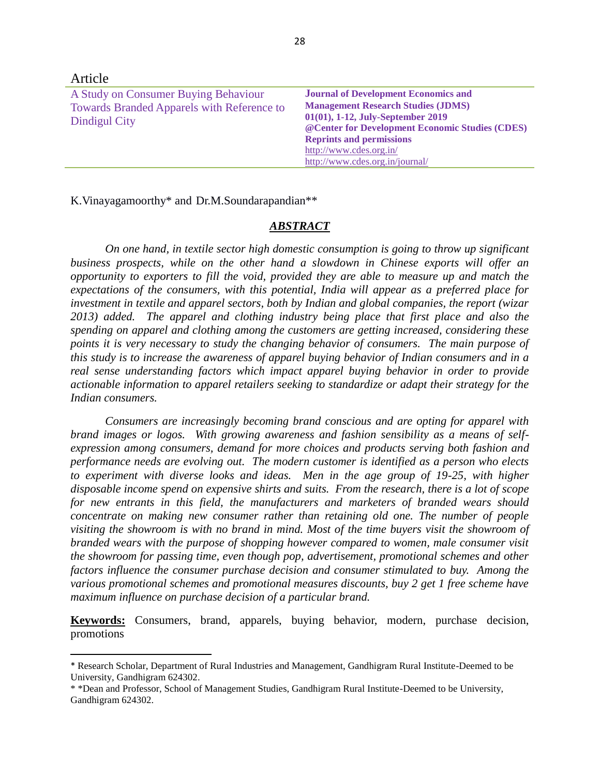| Article                                                                                                    |                                                                                                                                                                                                                                                                                    |
|------------------------------------------------------------------------------------------------------------|------------------------------------------------------------------------------------------------------------------------------------------------------------------------------------------------------------------------------------------------------------------------------------|
| A Study on Consumer Buying Behaviour<br><b>Towards Branded Apparels with Reference to</b><br>Dindigul City | <b>Journal of Development Economics and</b><br><b>Management Research Studies (JDMS)</b><br>01(01), 1-12, July-September 2019<br>@ Center for Development Economic Studies (CDES)<br><b>Reprints and permissions</b><br>http://www.cdes.org.in/<br>http://www.cdes.org.in/journal/ |

K.Vinayagamoorthy\* and Dr.M.Soundarapandian\*\*

 $\overline{\phantom{a}}$ 

### *ABSTRACT*

*On one hand, in textile sector high domestic consumption is going to throw up significant business prospects, while on the other hand a slowdown in Chinese exports will offer an opportunity to exporters to fill the void, provided they are able to measure up and match the expectations of the consumers, with this potential, India will appear as a preferred place for investment in textile and apparel sectors, both by Indian and global companies, the report (wizar 2013) added. The apparel and clothing industry being place that first place and also the spending on apparel and clothing among the customers are getting increased, considering these points it is very necessary to study the changing behavior of consumers. The main purpose of this study is to increase the awareness of apparel buying behavior of Indian consumers and in a real sense understanding factors which impact apparel buying behavior in order to provide actionable information to apparel retailers seeking to standardize or adapt their strategy for the Indian consumers.*

*Consumers are increasingly becoming brand conscious and are opting for apparel with brand images or logos. With growing awareness and fashion sensibility as a means of selfexpression among consumers, demand for more choices and products serving both fashion and performance needs are evolving out. The modern customer is identified as a person who elects to experiment with diverse looks and ideas. Men in the age group of 19-25, with higher disposable income spend on expensive shirts and suits. From the research, there is a lot of scope for new entrants in this field, the manufacturers and marketers of branded wears should concentrate on making new consumer rather than retaining old one. The number of people visiting the showroom is with no brand in mind. Most of the time buyers visit the showroom of branded wears with the purpose of shopping however compared to women, male consumer visit the showroom for passing time, even though pop, advertisement, promotional schemes and other factors influence the consumer purchase decision and consumer stimulated to buy. Among the various promotional schemes and promotional measures discounts, buy 2 get 1 free scheme have maximum influence on purchase decision of a particular brand.*

**Keywords:** Consumers, brand, apparels, buying behavior, modern, purchase decision, promotions

<sup>\*</sup> Research Scholar, Department of Rural Industries and Management, Gandhigram Rural Institute-Deemed to be University, Gandhigram 624302.

<sup>\* \*</sup>Dean and Professor, School of Management Studies, Gandhigram Rural Institute-Deemed to be University, Gandhigram 624302.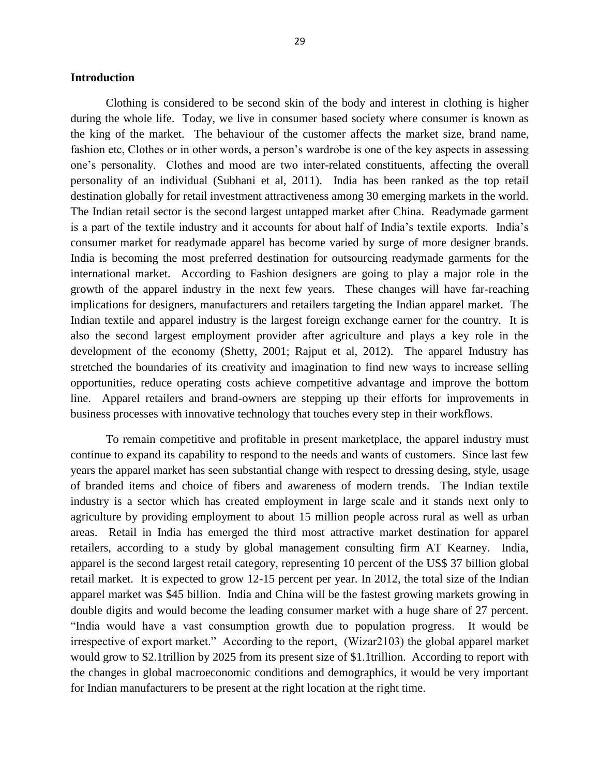#### **Introduction**

Clothing is considered to be second skin of the body and interest in clothing is higher during the whole life. Today, we live in consumer based society where consumer is known as the king of the market. The behaviour of the customer affects the market size, brand name, fashion etc, Clothes or in other words, a person's wardrobe is one of the key aspects in assessing one's personality. Clothes and mood are two inter-related constituents, affecting the overall personality of an individual (Subhani et al, 2011). India has been ranked as the top retail destination globally for retail investment attractiveness among 30 emerging markets in the world. The Indian retail sector is the second largest untapped market after China. Readymade garment is a part of the textile industry and it accounts for about half of India's textile exports. India's consumer market for readymade apparel has become varied by surge of more designer brands. India is becoming the most preferred destination for outsourcing readymade garments for the international market. According to Fashion designers are going to play a major role in the growth of the apparel industry in the next few years. These changes will have far-reaching implications for designers, manufacturers and retailers targeting the Indian apparel market. The Indian textile and apparel industry is the largest foreign exchange earner for the country. It is also the second largest employment provider after agriculture and plays a key role in the development of the economy (Shetty, 2001; Rajput et al, 2012). The apparel Industry has stretched the boundaries of its creativity and imagination to find new ways to increase selling opportunities, reduce operating costs achieve competitive advantage and improve the bottom line. Apparel retailers and brand-owners are stepping up their efforts for improvements in business processes with innovative technology that touches every step in their workflows.

To remain competitive and profitable in present marketplace, the apparel industry must continue to expand its capability to respond to the needs and wants of customers. Since last few years the apparel market has seen substantial change with respect to dressing desing, style, usage of branded items and choice of fibers and awareness of modern trends. The Indian textile industry is a sector which has created employment in large scale and it stands next only to agriculture by providing employment to about 15 million people across rural as well as urban areas. Retail in India has emerged the third most attractive market destination for apparel retailers, according to a study by global management consulting firm AT Kearney. India, apparel is the second largest retail category, representing 10 percent of the US\$ 37 billion global retail market. It is expected to grow 12-15 percent per year. In 2012, the total size of the Indian apparel market was \$45 billion. India and China will be the fastest growing markets growing in double digits and would become the leading consumer market with a huge share of 27 percent. "India would have a vast consumption growth due to population progress. It would be irrespective of export market." According to the report, (Wizar2103) the global apparel market would grow to \$2.1trillion by 2025 from its present size of \$1.1trillion. According to report with the changes in global macroeconomic conditions and demographics, it would be very important for Indian manufacturers to be present at the right location at the right time.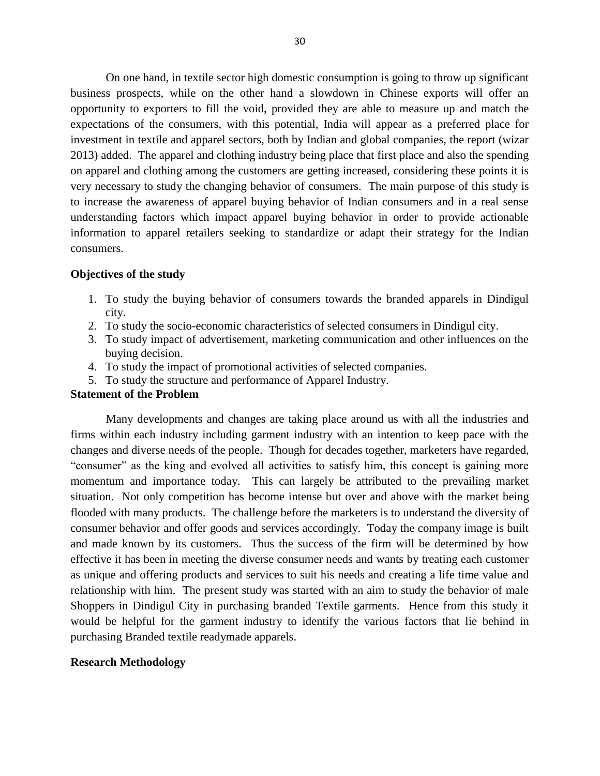On one hand, in textile sector high domestic consumption is going to throw up significant business prospects, while on the other hand a slowdown in Chinese exports will offer an opportunity to exporters to fill the void, provided they are able to measure up and match the expectations of the consumers, with this potential, India will appear as a preferred place for investment in textile and apparel sectors, both by Indian and global companies, the report (wizar 2013) added. The apparel and clothing industry being place that first place and also the spending on apparel and clothing among the customers are getting increased, considering these points it is very necessary to study the changing behavior of consumers. The main purpose of this study is to increase the awareness of apparel buying behavior of Indian consumers and in a real sense understanding factors which impact apparel buying behavior in order to provide actionable information to apparel retailers seeking to standardize or adapt their strategy for the Indian consumers.

### **Objectives of the study**

- 1. To study the buying behavior of consumers towards the branded apparels in Dindigul city.
- 2. To study the socio-economic characteristics of selected consumers in Dindigul city.
- 3. To study impact of advertisement, marketing communication and other influences on the buying decision.
- 4. To study the impact of promotional activities of selected companies.
- 5. To study the structure and performance of Apparel Industry.

# **Statement of the Problem**

Many developments and changes are taking place around us with all the industries and firms within each industry including garment industry with an intention to keep pace with the changes and diverse needs of the people. Though for decades together, marketers have regarded, "consumer" as the king and evolved all activities to satisfy him, this concept is gaining more momentum and importance today. This can largely be attributed to the prevailing market situation. Not only competition has become intense but over and above with the market being flooded with many products. The challenge before the marketers is to understand the diversity of consumer behavior and offer goods and services accordingly. Today the company image is built and made known by its customers. Thus the success of the firm will be determined by how effective it has been in meeting the diverse consumer needs and wants by treating each customer as unique and offering products and services to suit his needs and creating a life time value and relationship with him. The present study was started with an aim to study the behavior of male Shoppers in Dindigul City in purchasing branded Textile garments. Hence from this study it would be helpful for the garment industry to identify the various factors that lie behind in purchasing Branded textile readymade apparels.

#### **Research Methodology**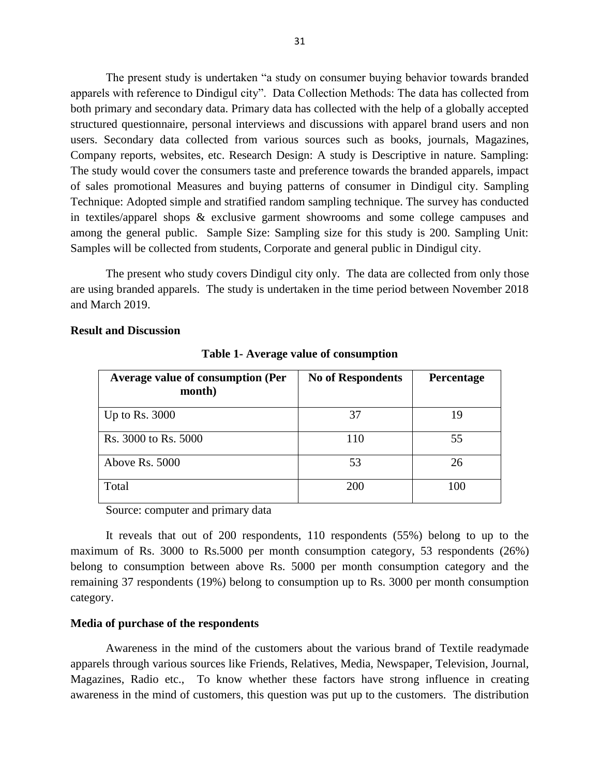The present study is undertaken "a study on consumer buying behavior towards branded apparels with reference to Dindigul city". Data Collection Methods: The data has collected from both primary and secondary data. Primary data has collected with the help of a globally accepted structured questionnaire, personal interviews and discussions with apparel brand users and non users. Secondary data collected from various sources such as books, journals, Magazines, Company reports, websites, etc. Research Design: A study is Descriptive in nature. Sampling: The study would cover the consumers taste and preference towards the branded apparels, impact of sales promotional Measures and buying patterns of consumer in Dindigul city. Sampling Technique: Adopted simple and stratified random sampling technique. The survey has conducted in textiles/apparel shops & exclusive garment showrooms and some college campuses and among the general public. Sample Size: Sampling size for this study is 200. Sampling Unit: Samples will be collected from students, Corporate and general public in Dindigul city.

The present who study covers Dindigul city only. The data are collected from only those are using branded apparels. The study is undertaken in the time period between November 2018 and March 2019.

| <b>Average value of consumption (Per</b><br>month) | <b>No of Respondents</b> | Percentage |
|----------------------------------------------------|--------------------------|------------|
| Up to Rs. $3000$                                   | 37                       | 19         |
| Rs. 3000 to Rs. 5000                               | 110                      | 55         |
| Above Rs. 5000                                     | 53                       | 26         |
| Total                                              | 200                      | 100        |

#### **Result and Discussion**

**Table 1- Average value of consumption**

Source: computer and primary data

It reveals that out of 200 respondents, 110 respondents (55%) belong to up to the maximum of Rs. 3000 to Rs.5000 per month consumption category, 53 respondents (26%) belong to consumption between above Rs. 5000 per month consumption category and the remaining 37 respondents (19%) belong to consumption up to Rs. 3000 per month consumption category.

#### **Media of purchase of the respondents**

Awareness in the mind of the customers about the various brand of Textile readymade apparels through various sources like Friends, Relatives, Media, Newspaper, Television, Journal, Magazines, Radio etc., To know whether these factors have strong influence in creating awareness in the mind of customers, this question was put up to the customers. The distribution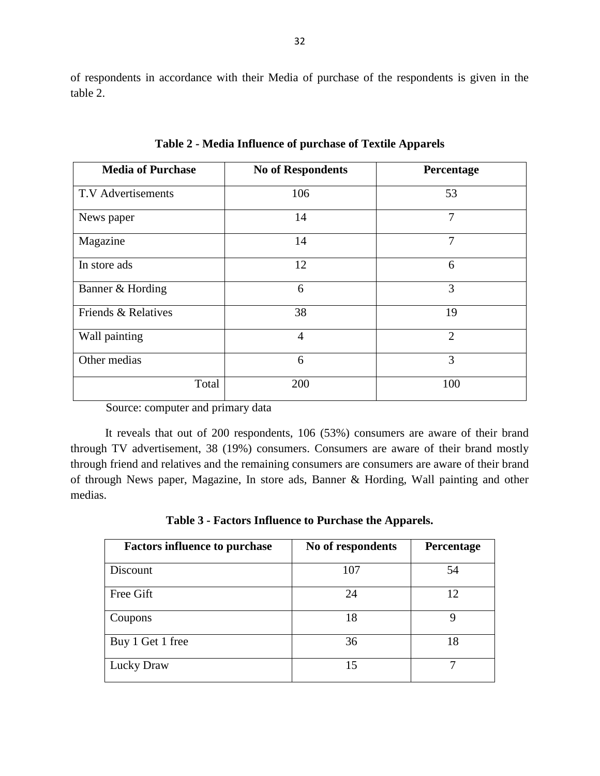of respondents in accordance with their Media of purchase of the respondents is given in the table 2.

| <b>Media of Purchase</b>  | <b>No of Respondents</b> | Percentage     |
|---------------------------|--------------------------|----------------|
| <b>T.V</b> Advertisements | 106                      | 53             |
| News paper                | 14                       | 7              |
| Magazine                  | 14                       | 7              |
| In store ads              | 12                       | 6              |
| Banner & Hording          | 6                        | 3              |
| Friends & Relatives       | 38                       | 19             |
| Wall painting             | $\overline{4}$           | $\overline{2}$ |
| Other medias              | 6                        | 3              |
| Total                     | 200                      | 100            |

**Table 2 - Media Influence of purchase of Textile Apparels**

Source: computer and primary data

It reveals that out of 200 respondents, 106 (53%) consumers are aware of their brand through TV advertisement, 38 (19%) consumers. Consumers are aware of their brand mostly through friend and relatives and the remaining consumers are consumers are aware of their brand of through News paper, Magazine, In store ads, Banner & Hording, Wall painting and other medias.

**Table 3 - Factors Influence to Purchase the Apparels.**

| <b>Factors influence to purchase</b> | No of respondents | Percentage |
|--------------------------------------|-------------------|------------|
| Discount                             | 107               | 54         |
| Free Gift                            | 24                | 12         |
| Coupons                              | 18                | 9          |
| Buy 1 Get 1 free                     | 36                | 18         |
| <b>Lucky Draw</b>                    | 15                | ⇁          |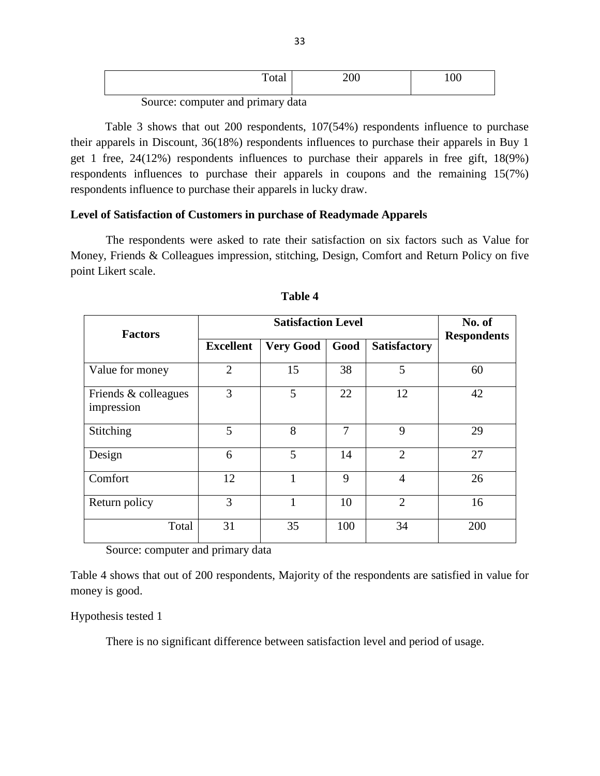| Total | 200 | 00 |
|-------|-----|----|
|       |     |    |

Source: computer and primary data

Table 3 shows that out 200 respondents, 107(54%) respondents influence to purchase their apparels in Discount, 36(18%) respondents influences to purchase their apparels in Buy 1 get 1 free, 24(12%) respondents influences to purchase their apparels in free gift, 18(9%) respondents influences to purchase their apparels in coupons and the remaining 15(7%) respondents influence to purchase their apparels in lucky draw.

### **Level of Satisfaction of Customers in purchase of Readymade Apparels**

The respondents were asked to rate their satisfaction on six factors such as Value for Money, Friends & Colleagues impression, stitching, Design, Comfort and Return Policy on five point Likert scale.

| <b>Factors</b>                     | <b>Satisfaction Level</b> |                  |      |                     | No. of<br><b>Respondents</b> |
|------------------------------------|---------------------------|------------------|------|---------------------|------------------------------|
|                                    | <b>Excellent</b>          | <b>Very Good</b> | Good | <b>Satisfactory</b> |                              |
| Value for money                    | $\overline{2}$            | 15               | 38   | 5                   | 60                           |
| Friends & colleagues<br>impression | 3                         | 5                | 22   | 12                  | 42                           |
| Stitching                          | 5                         | 8                | 7    | 9                   | 29                           |
| Design                             | 6                         | 5                | 14   | $\overline{2}$      | 27                           |
| Comfort                            | 12                        | 1                | 9    | $\overline{4}$      | 26                           |
| Return policy                      | 3                         | 1                | 10   | $\overline{2}$      | 16                           |
| Total                              | 31                        | 35               | 100  | 34                  | 200                          |

**Table 4**

Source: computer and primary data

Table 4 shows that out of 200 respondents, Majority of the respondents are satisfied in value for money is good.

### Hypothesis tested 1

There is no significant difference between satisfaction level and period of usage.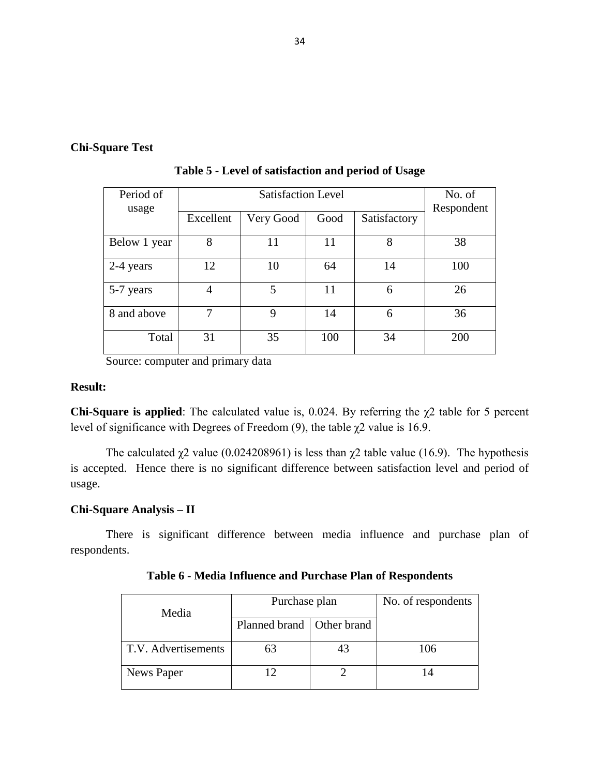# **Chi-Square Test**

| Period of<br>usage |           | No. of<br>Respondent |      |              |     |
|--------------------|-----------|----------------------|------|--------------|-----|
|                    | Excellent | Very Good            | Good | Satisfactory |     |
| Below 1 year       | 8         | 11                   | 11   | 8            | 38  |
| 2-4 years          | 12        | 10                   | 64   | 14           | 100 |
| 5-7 years          | 4         | 5                    | 11   | 6            | 26  |
| 8 and above        | 7         | 9                    | 14   | 6            | 36  |
| Total              | 31        | 35                   | 100  | 34           | 200 |

**Table 5 - Level of satisfaction and period of Usage**

Source: computer and primary data

# **Result:**

**Chi-Square is applied**: The calculated value is,  $0.024$ . By referring the  $\chi$ 2 table for 5 percent level of significance with Degrees of Freedom (9), the table  $\chi$ 2 value is 16.9.

The calculated  $\chi$ 2 value (0.024208961) is less than  $\chi$ 2 table value (16.9). The hypothesis is accepted. Hence there is no significant difference between satisfaction level and period of usage.

# **Chi-Square Analysis – II**

There is significant difference between media influence and purchase plan of respondents.

| Media               | Purchase plan               | No. of respondents |     |
|---------------------|-----------------------------|--------------------|-----|
|                     | Planned brand   Other brand |                    |     |
| T.V. Advertisements | 63                          | 43                 | 106 |
| News Paper          |                             |                    |     |

**Table 6 - Media Influence and Purchase Plan of Respondents**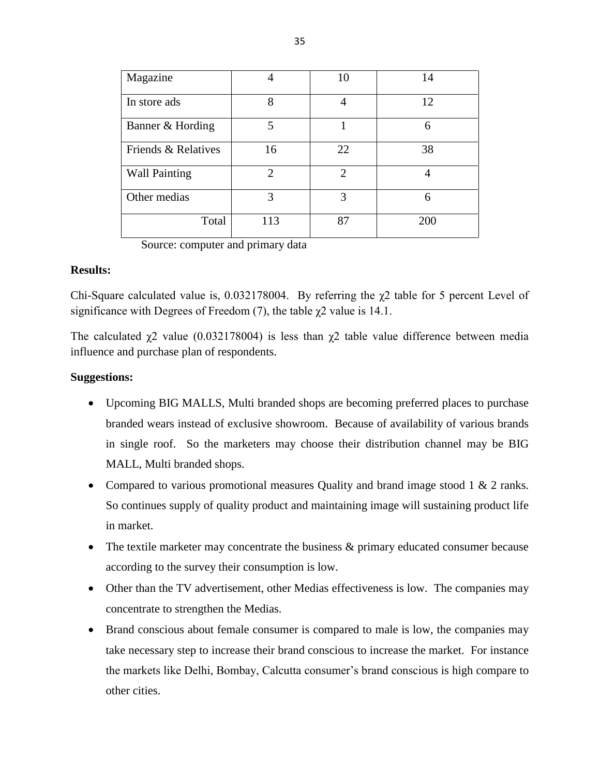| Magazine             |                             | 10             | 14  |
|----------------------|-----------------------------|----------------|-----|
| In store ads         | 8                           | 4              | 12  |
| Banner & Hording     | 5                           |                | 6   |
| Friends & Relatives  | 16                          | 22             | 38  |
| <b>Wall Painting</b> | $\mathcal{D}_{\mathcal{A}}$ | $\overline{2}$ |     |
| Other medias         | 3                           | 3              | 6   |
| Total                | 113                         | 87             | 200 |

Source: computer and primary data

### **Results:**

Chi-Square calculated value is,  $0.032178004$ . By referring the  $\chi$ 2 table for 5 percent Level of significance with Degrees of Freedom (7), the table  $\chi$ 2 value is 14.1.

The calculated  $\chi$ 2 value (0.032178004) is less than  $\chi$ 2 table value difference between media influence and purchase plan of respondents.

# **Suggestions:**

- Upcoming BIG MALLS, Multi branded shops are becoming preferred places to purchase branded wears instead of exclusive showroom. Because of availability of various brands in single roof. So the marketers may choose their distribution channel may be BIG MALL, Multi branded shops.
- Compared to various promotional measures Quality and brand image stood 1 & 2 ranks. So continues supply of quality product and maintaining image will sustaining product life in market.
- The textile marketer may concentrate the business & primary educated consumer because according to the survey their consumption is low.
- Other than the TV advertisement, other Medias effectiveness is low. The companies may concentrate to strengthen the Medias.
- Brand conscious about female consumer is compared to male is low, the companies may take necessary step to increase their brand conscious to increase the market. For instance the markets like Delhi, Bombay, Calcutta consumer's brand conscious is high compare to other cities.